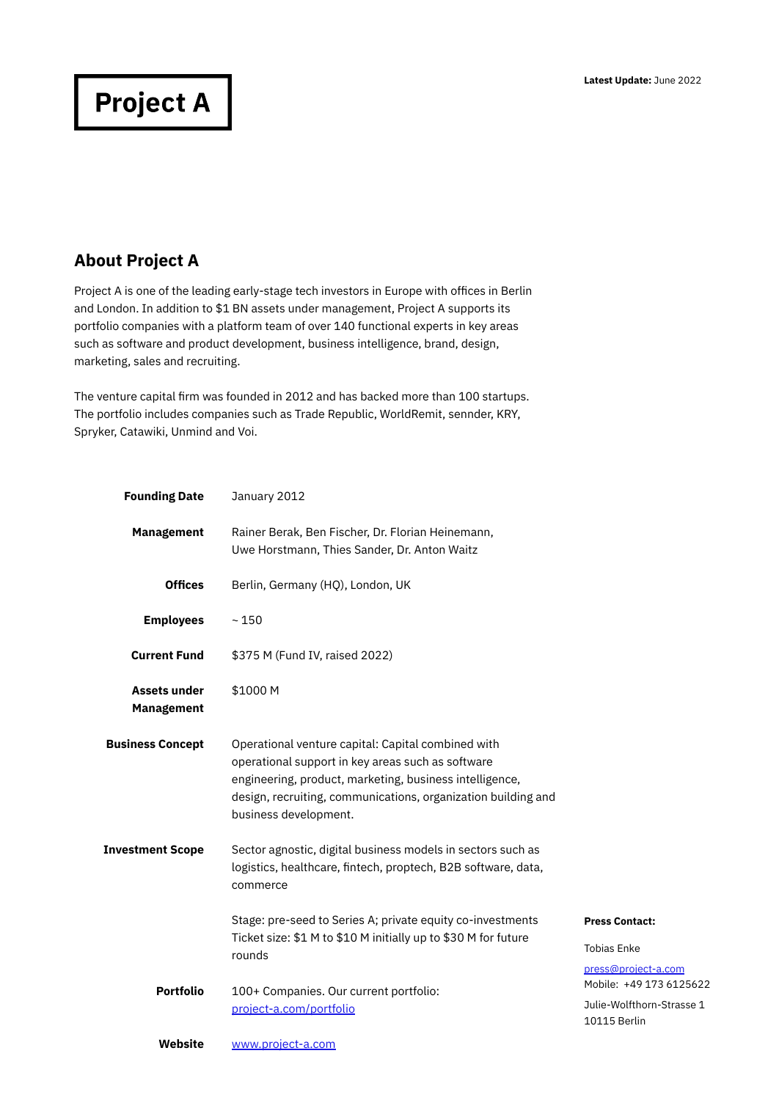## **Project A**

## **About Project A**

Project A is one of the leading early-stage tech investors in Europe with offices in Berlin and London. In addition to \$1 BN assets under management, Project A supports its portfolio companies with a platform team of over 140 functional experts in key areas such as software and product development, business intelligence, brand, design, marketing, sales and recruiting.

The venture capital firm was founded in 2012 and has backed more than 100 startups. The portfolio includes companies such as Trade Republic, WorldRemit, sennder, KRY, Spryker, Catawiki, Unmind and Voi.

| <b>Founding Date</b>                     | January 2012                                                                                                                                                                                                                                                 |                                                                      |
|------------------------------------------|--------------------------------------------------------------------------------------------------------------------------------------------------------------------------------------------------------------------------------------------------------------|----------------------------------------------------------------------|
| <b>Management</b>                        | Rainer Berak, Ben Fischer, Dr. Florian Heinemann,<br>Uwe Horstmann, Thies Sander, Dr. Anton Waitz                                                                                                                                                            |                                                                      |
| <b>Offices</b>                           | Berlin, Germany (HQ), London, UK                                                                                                                                                                                                                             |                                                                      |
| <b>Employees</b>                         | ~150                                                                                                                                                                                                                                                         |                                                                      |
| <b>Current Fund</b>                      | \$375 M (Fund IV, raised 2022)                                                                                                                                                                                                                               |                                                                      |
| <b>Assets under</b><br><b>Management</b> | \$1000 M                                                                                                                                                                                                                                                     |                                                                      |
| <b>Business Concept</b>                  | Operational venture capital: Capital combined with<br>operational support in key areas such as software<br>engineering, product, marketing, business intelligence,<br>design, recruiting, communications, organization building and<br>business development. |                                                                      |
| <b>Investment Scope</b>                  | Sector agnostic, digital business models in sectors such as<br>logistics, healthcare, fintech, proptech, B2B software, data,<br>commerce                                                                                                                     |                                                                      |
|                                          | Stage: pre-seed to Series A; private equity co-investments<br>Ticket size: \$1 M to \$10 M initially up to \$30 M for future<br>rounds                                                                                                                       | <b>Press Contact:</b><br><b>Tobias Enke</b><br>press@project-a.com   |
| <b>Portfolio</b>                         | 100+ Companies. Our current portfolio:<br>project-a.com/portfolio                                                                                                                                                                                            | Mobile: +49 173 6125622<br>Julie-Wolfthorn-Strasse 1<br>10115 Berlin |
| Website                                  | www.project-a.com                                                                                                                                                                                                                                            |                                                                      |